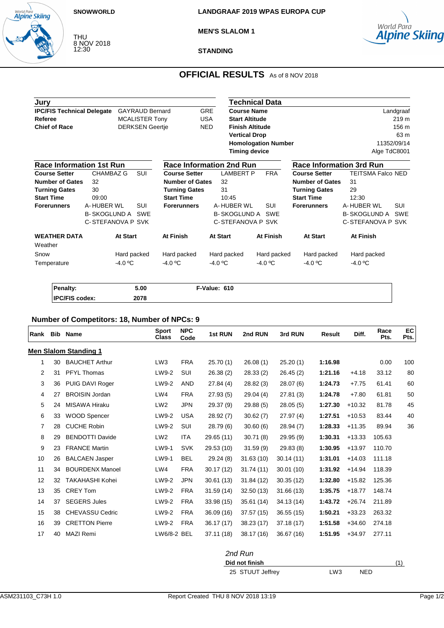#### **SNOWWORLD**

World Para<br>**Alpine Skiing** 

THU 8 NOV 2018 12:30

**MEN'S SLALOM 1**



**STANDING**

# **OFFICIAL RESULTS** As of 8 NOV 2018

| Jury                                                        |                     |             |                        |                                 |                    |                        | Technical Data             |                                 |                            |
|-------------------------------------------------------------|---------------------|-------------|------------------------|---------------------------------|--------------------|------------------------|----------------------------|---------------------------------|----------------------------|
| <b>IPC/FIS Technical Delegate</b><br><b>GAYRAUD Bernard</b> |                     |             |                        | <b>GRE</b>                      | <b>Course Name</b> |                        |                            | Landgraaf                       |                            |
| <b>MCALISTER Tony</b><br>Referee                            |                     |             |                        |                                 | <b>USA</b>         | <b>Start Altitude</b>  |                            |                                 | 219 <sub>m</sub>           |
| <b>Chief of Race</b>                                        |                     |             | <b>DERKSEN Geertje</b> |                                 | <b>NED</b>         | <b>Finish Altitude</b> |                            |                                 | 156 m                      |
|                                                             |                     |             |                        |                                 |                    | <b>Vertical Drop</b>   |                            |                                 | 63 m                       |
|                                                             |                     |             |                        |                                 |                    |                        | <b>Homologation Number</b> |                                 | 11352/09/14                |
|                                                             |                     |             |                        |                                 |                    | <b>Timing device</b>   |                            |                                 | Alge TdC8001               |
| <b>Race Information 1st Run</b>                             |                     |             |                        | <b>Race Information 2nd Run</b> |                    |                        |                            | <b>Race Information 3rd Run</b> |                            |
| <b>Course Setter</b>                                        | <b>CHAMBAZ G</b>    |             | <b>SUI</b>             | <b>Course Setter</b>            |                    | <b>LAMBERT P</b>       | <b>FRA</b>                 | <b>Course Setter</b>            | <b>TEITSMA Falco NED</b>   |
| <b>Number of Gates</b>                                      | 32                  |             |                        | <b>Number of Gates</b>          | 32                 |                        |                            | <b>Number of Gates</b>          | 31                         |
| <b>Turning Gates</b>                                        | 30                  |             |                        | <b>Turning Gates</b>            | 31                 |                        |                            | <b>Turning Gates</b>            | 29                         |
| <b>Start Time</b>                                           | 09:00               |             |                        | <b>Start Time</b>               |                    | 10:45                  |                            | <b>Start Time</b>               | 12:30                      |
| <b>Forerunners</b>                                          | A-HUBER WL          |             | <b>SUI</b>             | <b>Forerunners</b>              |                    | A-HUBER WL             | <b>SUI</b>                 | <b>Forerunners</b>              | A-HUBER WL<br><b>SUI</b>   |
|                                                             | <b>B-SKOGLUND A</b> |             | <b>SWE</b>             |                                 |                    | <b>B-SKOGLUND A</b>    | SWE                        |                                 | B-SKOGLUND A<br><b>SWE</b> |
|                                                             | C-STEFANOVA P SVK   |             |                        |                                 |                    | C-STEFANOVA P SVK      |                            |                                 | C-STEFANOVA P SVK          |
| <b>WEATHER DATA</b>                                         |                     | At Start    |                        | <b>At Finish</b>                | At Start           |                        | At Finish                  | <b>At Start</b>                 | At Finish                  |
| Weather                                                     |                     |             |                        |                                 |                    |                        |                            |                                 |                            |
| Snow                                                        |                     | Hard packed |                        | Hard packed                     |                    | Hard packed            | Hard packed                | Hard packed                     | Hard packed                |
| Temperature                                                 |                     | $-4.0 °C$   |                        | $-4.0 °C$                       | $-4.0 °C$          |                        | $-4.0 °C$                  | $-4.0 °C$                       | $-4.0 °C$                  |

| Penalty:              | 5.00 | F-Value: 610 |
|-----------------------|------|--------------|
| <b>IPC/FIS codex:</b> | 2078 |              |

## **Number of Competitors: 18, Number of NPCs: 9**

| Rank | Bib | <b>Name</b>                  | <b>Sport</b><br>Class | <b>NPC</b><br>Code | 1st RUN    | 2nd RUN    | 3rd RUN    | Result  | Diff.    | Race<br>Pts. | EC<br>Pts. |
|------|-----|------------------------------|-----------------------|--------------------|------------|------------|------------|---------|----------|--------------|------------|
|      |     | <b>Men Slalom Standing 1</b> |                       |                    |            |            |            |         |          |              |            |
| 1    | 30  | <b>BAUCHET Arthur</b>        | LW <sub>3</sub>       | <b>FRA</b>         | 25.70(1)   | 26.08(1)   | 25.20(1)   | 1:16.98 |          | 0.00         | 100        |
| 2    | 31  | <b>PFYL Thomas</b>           | LW9-2                 | SUI                | 26.38(2)   | 28.33(2)   | 26.45(2)   | 1:21.16 | $+4.18$  | 33.12        | 80         |
| 3    | 36  | PUIG DAVI Roger              | LW9-2                 | <b>AND</b>         | 27.84(4)   | 28.82(3)   | 28.07(6)   | 1:24.73 | $+7.75$  | 61.41        | 60         |
| 4    | 27  | <b>BROISIN Jordan</b>        | LW4                   | <b>FRA</b>         | 27.93(5)   | 29.04(4)   | 27.81(3)   | 1:24.78 | $+7.80$  | 61.81        | 50         |
| 5    | 24  | MISAWA Hiraku                | LW <sub>2</sub>       | <b>JPN</b>         | 29.37(9)   | 29.88(5)   | 28.05(5)   | 1:27.30 | $+10.32$ | 81.78        | 45         |
| 6    | 33  | <b>WOOD Spencer</b>          | LW9-2                 | <b>USA</b>         | 28.92(7)   | 30.62(7)   | 27.97(4)   | 1:27.51 | $+10.53$ | 83.44        | 40         |
| 7    | 28  | <b>CUCHE Robin</b>           | LW9-2                 | SUI                | 28.79(6)   | 30.60(6)   | 28.94(7)   | 1:28.33 | $+11.35$ | 89.94        | 36         |
| 8    | 29  | <b>BENDOTTI Davide</b>       | LW <sub>2</sub>       | <b>ITA</b>         | 29.65 (11) | 30.71(8)   | 29.95(9)   | 1:30.31 | $+13.33$ | 105.63       |            |
| 9    | 23  | <b>FRANCE Martin</b>         | LW9-1                 | <b>SVK</b>         | 29.53 (10) | 31.59(9)   | 29.83(8)   | 1:30.95 | $+13.97$ | 110.70       |            |
| 10   | 26  | <b>BALCAEN Jasper</b>        | LW9-1                 | <b>BEL</b>         | 29.24(8)   | 31.63(10)  | 30.14 (11) | 1:31.01 | $+14.03$ | 111.18       |            |
| 11   | 34  | <b>BOURDENX Manoel</b>       | LW4                   | <b>FRA</b>         | 30.17(12)  | 31.74(11)  | 30.01 (10) | 1:31.92 | $+14.94$ | 118.39       |            |
| 12   | 32  | <b>TAKAHASHI Kohei</b>       | LW9-2                 | <b>JPN</b>         | 30.61(13)  | 31.84 (12) | 30.35(12)  | 1:32.80 | $+15.82$ | 125.36       |            |
| 13   | 35  | <b>CREY Tom</b>              | LW9-2                 | <b>FRA</b>         | 31.59(14)  | 32.50(13)  | 31.66 (13) | 1:35.75 | $+18.77$ | 148.74       |            |
| 14   | 37  | <b>SEGERS Jules</b>          | LW9-2                 | <b>FRA</b>         | 33.98 (15) | 35.61(14)  | 34.13 (14) | 1:43.72 | $+26.74$ | 211.89       |            |
| 15   | 38  | <b>CHEVASSU Cedric</b>       | LW9-2                 | <b>FRA</b>         | 36.09(16)  | 37.57 (15) | 36.55(15)  | 1:50.21 | $+33.23$ | 263.32       |            |
| 16   | 39  | <b>CRETTON Pierre</b>        | LW9-2                 | <b>FRA</b>         | 36.17(17)  | 38.23(17)  | 37.18(17)  | 1:51.58 | $+34.60$ | 274.18       |            |
| 17   | 40  | <b>MAZI Remi</b>             | LW6/8-2 BEL           |                    | 37.11(18)  | 38.17 (16) | 36.67 (16) | 1:51.95 | $+34.97$ | 277.11       |            |

**Did not finish** (1) 25 STUUT Jeffrey LW3 NED

2nd Run